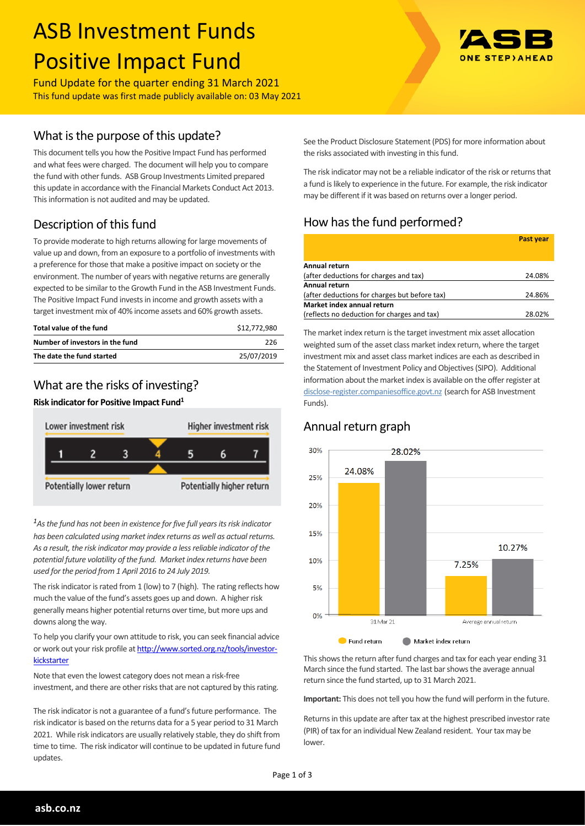# ASB Investment Funds Positive Impact Fund

Fund Update for the quarter ending 31 March 2021 This fund update was first made publicly available on: 03 May 2021

## What is the purpose of this update?

This document tells you how the Positive Impact Fund has performed and what fees were charged. The document will help you to compare the fund with other funds. ASB Group Investments Limited prepared this update in accordance with the Financial Markets Conduct Act 2013. This information is not audited and may be updated.

# Description of this fund

To provide moderate to high returns allowing for large movements of value up and down, from an exposure to a portfolio of investments with a preference for those that make a positive impact on society or the environment. The number of years with negative returns are generally expected to be similar to the Growth Fund in the ASB Investment Funds. The Positive Impact Fund invests in income and growth assets with a target investment mix of 40% income assets and 60% growth assets.

| Total value of the fund         | \$12.772.980 |
|---------------------------------|--------------|
| Number of investors in the fund | 226          |
| The date the fund started       | 25/07/2019   |

## What are the risks of investing?

#### **Risk indicator for Positive Impact Fund<sup>1</sup>**



*<sup>1</sup>As the fund has not been in existence for five full years its risk indicator has been calculated using market index returns as well as actual returns. As a result, the risk indicator may provide a less reliable indicator of the potential future volatility of the fund. Market index returns have been used for the period from 1 April 2016 to 24 July 2019.*

The risk indicator is rated from 1 (low) to 7 (high). The rating reflects how much the value of the fund's assets goes up and down. A higher risk generally means higher potential returns over time, but more ups and downs along the way.

To help you clarify your own attitude to risk, you can seek financial advice or work out your risk profile at [http://www.sorted.org.nz/tools/investor](http://www.sorted.org.nz/tools/investor-kickstarter)[kickstarter](http://www.sorted.org.nz/tools/investor-kickstarter)

Note that even the lowest category does not mean a risk-free investment, and there are other risks that are not captured by this rating.

The risk indicator is not a guarantee of a fund's future performance. The risk indicator is based on the returns data for a 5 year period to 31 March 2021. While risk indicators are usually relatively stable, they do shift from time to time. The risk indicator will continue to be updated in future fund updates.



See the Product Disclosure Statement (PDS) for more information about the risks associated with investing in this fund.

The risk indicator may not be a reliable indicator of the risk or returns that a fund is likely to experience in the future. For example, the risk indicator may be different if it was based on returns over a longer period.

# How has the fund performed?

|                                               | <b>Past year</b> |
|-----------------------------------------------|------------------|
|                                               |                  |
| Annual return                                 |                  |
| (after deductions for charges and tax)        | 24.08%           |
| Annual return                                 |                  |
| (after deductions for charges but before tax) | 24.86%           |
| Market index annual return                    |                  |
| (reflects no deduction for charges and tax)   | 28.02%           |

The market index return is the target investment mix asset allocation weighted sum of the asset class market index return, where the target investment mix and asset class market indices are each as described in the Statement of Investment Policy and Objectives (SIPO). Additional information about the market index is available on the offer register at [disclose-register.companiesoffice.govt.nz](http://www.business.govt.nz/disclose/) (search for ASB Investment Funds).

## Annual return graph



This shows the return after fund charges and tax for each year ending 31 March since the fund started. The last bar shows the average annual return since the fund started, up to 31 March 2021.

**Important:** This does not tell you how the fund will perform in the future.

Returns in this update are after tax at the highest prescribed investor rate (PIR) of tax for an individual New Zealand resident. Your tax may be lower.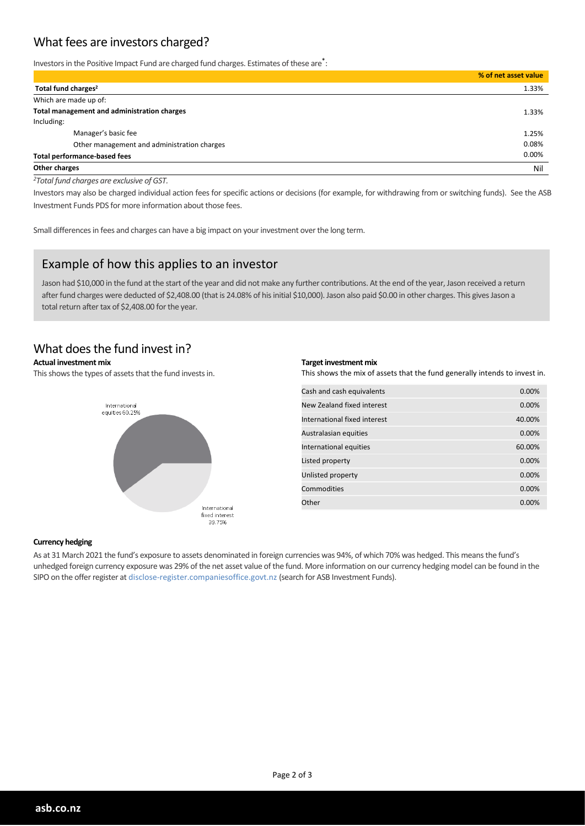## What fees are investors charged?

Investors in the Positive Impact Fund are charged fund charges. Estimates of these are<sup>\*</sup>:

|                                             | % of net asset value |
|---------------------------------------------|----------------------|
| Total fund charges <sup>2</sup>             | 1.33%                |
| Which are made up of:                       |                      |
| Total management and administration charges | 1.33%                |
| Including:                                  |                      |
| Manager's basic fee                         | 1.25%                |
| Other management and administration charges | 0.08%                |
| <b>Total performance-based fees</b>         | 0.00%                |
| Other charges                               | Nil                  |

*<sup>2</sup>Total fund charges are exclusive of GST.*

Investors may also be charged individual action fees for specific actions or decisions (for example, for withdrawing from or switching funds). See the ASB Investment Funds PDS for more information about those fees.

Small differences in fees and charges can have a big impact on your investment over the long term.

#### Example of how this applies to an investor

Jason had \$10,000 in the fund at the start of the year and did not make any further contributions. At the end of the year, Jason received a return after fund charges were deducted of \$2,408.00 (that is 24.08% of his initial \$10,000). Jason also paid \$0.00 in other charges. This gives Jason a total return after tax of \$2,408.00 for the year.

### What does the fund invest in?

#### **Actual investment mix**

This shows the types of assets that the fund invests in.



#### **Target investment mix**

This shows the mix of assets that the fund generally intends to invest in.

| Cash and cash equivalents    | 0.00%  |
|------------------------------|--------|
| New Zealand fixed interest   | 0.00%  |
| International fixed interest | 40.00% |
| Australasian equities        | 0.00%  |
| International equities       | 60.00% |
| Listed property              | 0.00%  |
| Unlisted property            | 0.00%  |
| Commodities                  | 0.00%  |
| Other                        | 0.00%  |

#### **Currency hedging**

As at 31 March 2021 the fund's exposure to assets denominated in foreign currencies was 94%, of which 70% was hedged. This means the fund's unhedged foreign currency exposure was 29% of the net asset value of the fund. More information on our currency hedging model can be found in the SIPO on the offer register at disclose-register.companiesoffice.govt.nz (search for ASB Investment Funds).